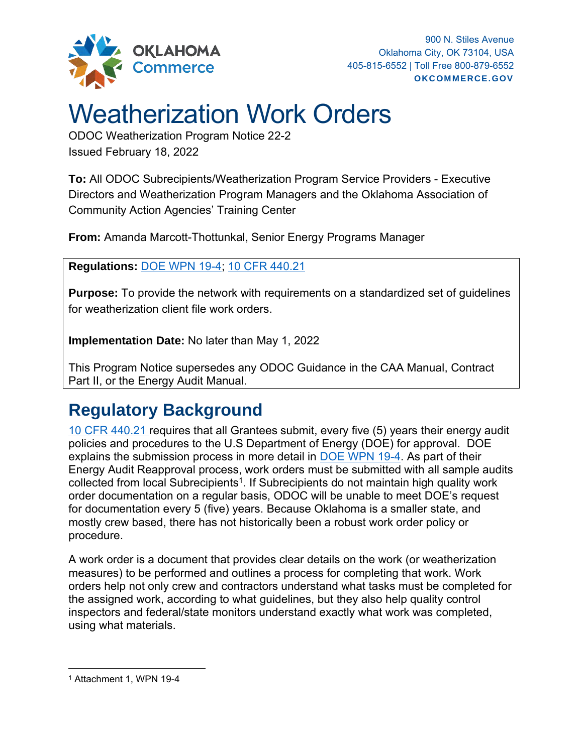

## Weatherization Work Orders

ODOC Weatherization Program Notice 22-2 Issued February 18, 2022

**To:** All ODOC Subrecipients/Weatherization Program Service Providers - Executive Directors and Weatherization Program Managers and the Oklahoma Association of Community Action Agencies' Training Center

**From:** Amanda Marcott-Thottunkal, Senior Energy Programs Manager

**Regulations:** DOE [WPN 19-4;](https://www.energy.gov/sites/default/files/2019/05/f62/WPN-19-4-Revised-EA_0517.pdf) [10 CFR 440.21](https://www.ecfr.gov/current/title-10/part-440)

**Purpose:** To provide the network with requirements on a standardized set of guidelines for weatherization client file work orders.

**Implementation Date:** No later than May 1, 2022

This Program Notice supersedes any ODOC Guidance in the CAA Manual, Contract Part II, or the Energy Audit Manual.

## **Regulatory Background**

[10 CFR 440.21](https://www.ecfr.gov/current/title-10/part-440) requires that all Grantees submit, every five (5) years their energy audit policies and procedures to the U.S Department of Energy (DOE) for approval. DOE explains the submission process in more detail in [DOE WPN 19-4.](https://www.energy.gov/sites/default/files/2019/05/f62/WPN-19-4-Revised-EA_0517.pdf) As part of their Energy Audit Reapproval process, work orders must be submitted with all sample audits collected from local Subrecipients<sup>1</sup>. If Subrecipients do not maintain high quality work order documentation on a regular basis, ODOC will be unable to meet DOE's request for documentation every 5 (five) years. Because Oklahoma is a smaller state, and mostly crew based, there has not historically been a robust work order policy or procedure.

A work order is a document that provides clear details on the work (or weatherization measures) to be performed and outlines a process for completing that work. Work orders help not only crew and contractors understand what tasks must be completed for the assigned work, according to what guidelines, but they also help quality control inspectors and federal/state monitors understand exactly what work was completed, using what materials.

<sup>1</sup> Attachment 1, WPN 19-4